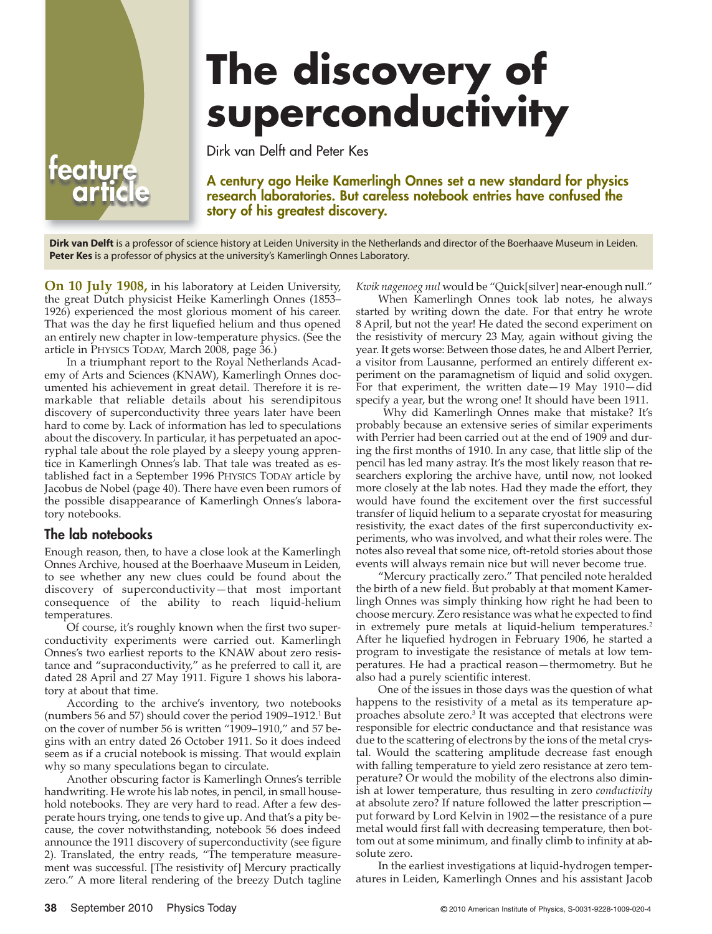# **The discovery of superconductivity**

Dirk van Delft and Peter Kes

**A century ago Heike Kamerlingh Onnes set a new standard for physics research laboratories. But careless notebook entries have confused the story of his greatest discovery.**

**Dirk van Delft** is a professor of science history at Leiden University in the Netherlands and director of the Boerhaave Museum in Leiden. **Peter Kes** is a professor of physics at the university's Kamerlingh Onnes Laboratory.

**On 10 July 1908,** in his laboratory at Leiden University, the great Dutch physicist Heike Kamerlingh Onnes (1853– 1926) experienced the most glorious moment of his career. That was the day he first liquefied helium and thus opened an entirely new chapter in low-temperature physics. (See the article in PHYSICS TODAY, March 2008, page 36.)

In a triumphant report to the Royal Netherlands Academy of Arts and Sciences (KNAW), Kamerlingh Onnes documented his achievement in great detail. Therefore it is remarkable that reliable details about his serendipitous discovery of superconductivity three years later have been hard to come by. Lack of information has led to speculations about the discovery. In particular, it has perpetuated an apocryphal tale about the role played by a sleepy young apprentice in Kamerlingh Onnes's lab. That tale was treated as established fact in a September 1996 PHYSICS TODAY article by Jacobus de Nobel (page 40). There have even been rumors of the possible disappearance of Kamerlingh Onnes's laboratory notebooks.

# **The lab notebooks**

**feature**

Enough reason, then, to have a close look at the Kamerlingh Onnes Archive, housed at the Boerhaave Museum in Leiden, to see whether any new clues could be found about the discovery of superconductivity—that most important consequence of the ability to reach liquid-helium temperatures.

Of course, it's roughly known when the first two superconductivity experiments were carried out. Kamerlingh Onnes's two earliest reports to the KNAW about zero resistance and "supraconductivity," as he preferred to call it, are dated 28 April and 27 May 1911. Figure 1 shows his laboratory at about that time.

According to the archive's inventory, two notebooks (numbers 56 and 57) should cover the period 1909–1912.1 But on the cover of number 56 is written "1909–1910," and 57 begins with an entry dated 26 October 1911. So it does indeed seem as if a crucial notebook is missing. That would explain why so many speculations began to circulate.

Another obscuring factor is Kamerlingh Onnes's terrible handwriting. He wrote his lab notes, in pencil, in small household notebooks. They are very hard to read. After a few desperate hours trying, one tends to give up. And that's a pity because, the cover notwithstanding, notebook 56 does indeed announce the 1911 discovery of superconductivity (see figure 2). Translated, the entry reads, "The temperature measurement was successful. [The resistivity of] Mercury practically zero." A more literal rendering of the breezy Dutch tagline *Kwik nagenoeg nul* would be "Quick[silver] near-enough null."

When Kamerlingh Onnes took lab notes, he always started by writing down the date. For that entry he wrote 8 April, but not the year! He dated the second experiment on the resistivity of mercury 23 May, again without giving the year. It gets worse: Between those dates, he and Albert Perrier, a visitor from Lausanne, performed an entirely different experiment on the paramagnetism of liquid and solid oxygen. For that experiment, the written date—19 May 1910—did specify a year, but the wrong one! It should have been 1911.

Why did Kamerlingh Onnes make that mistake? It's probably because an extensive series of similar experiments with Perrier had been carried out at the end of 1909 and during the first months of 1910. In any case, that little slip of the pencil has led many astray. It's the most likely reason that researchers exploring the archive have, until now, not looked more closely at the lab notes. Had they made the effort, they would have found the excitement over the first successful transfer of liquid helium to a separate cryostat for measuring resistivity, the exact dates of the first superconductivity experiments, who was involved, and what their roles were. The notes also reveal that some nice, oft-retold stories about those events will always remain nice but will never become true.

"Mercury practically zero." That penciled note heralded the birth of a new field. But probably at that moment Kamerlingh Onnes was simply thinking how right he had been to choose mercury. Zero resistance was what he expected to find in extremely pure metals at liquid-helium temperatures.<sup>2</sup> After he liquefied hydrogen in February 1906, he started a program to investigate the resistance of metals at low temperatures. He had a practical reason—thermometry. But he also had a purely scientific interest.

One of the issues in those days was the question of what happens to the resistivity of a metal as its temperature approaches absolute zero. $3$  It was accepted that electrons were responsible for electric conductance and that resistance was due to the scattering of electrons by the ions of the metal crystal. Would the scattering amplitude decrease fast enough with falling temperature to yield zero resistance at zero temperature? Or would the mobility of the electrons also diminish at lower temperature, thus resulting in zero *conductivity* at absolute zero? If nature followed the latter prescription put forward by Lord Kelvin in 1902—the resistance of a pure metal would first fall with decreasing temperature, then bottom out at some minimum, and finally climb to infinity at absolute zero.

In the earliest investigations at liquid-hydrogen temperatures in Leiden, Kamerlingh Onnes and his assistant Jacob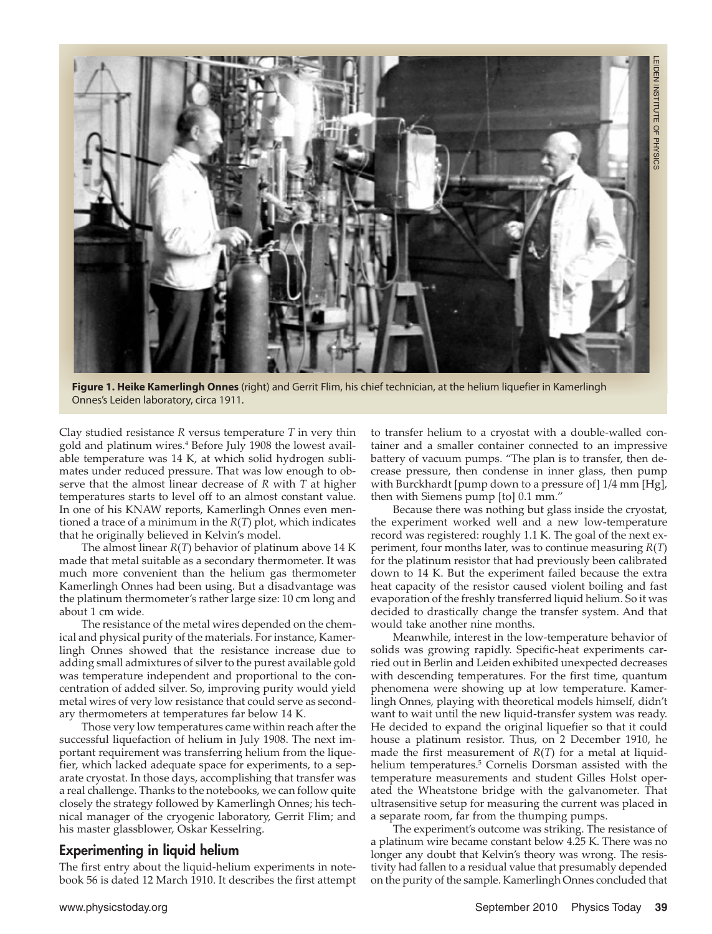

**Figure 1. Heike Kamerlingh Onnes** (right) and Gerrit Flim, his chief technician, at the helium liquefier in Kamerlingh Onnes's Leiden laboratory, circa 1911.

Clay studied resistance *R* versus temperature *T* in very thin gold and platinum wires.<sup>4</sup> Before July 1908 the lowest available temperature was 14 K, at which solid hydrogen sublimates under reduced pressure. That was low enough to observe that the almost linear decrease of *R* with *T* at higher temperatures starts to level off to an almost constant value. In one of his KNAW reports, Kamerlingh Onnes even mentioned a trace of a minimum in the *R*(*T*) plot, which indicates that he originally believed in Kelvin's model.

The almost linear *R*(*T*) behavior of platinum above 14 K made that metal suitable as a secondary thermometer. It was much more convenient than the helium gas thermometer Kamerlingh Onnes had been using. But a disadvantage was the platinum thermometer's rather large size: 10 cm long and about 1 cm wide.

The resistance of the metal wires depended on the chemical and physical purity of the materials. For instance, Kamerlingh Onnes showed that the resistance increase due to adding small admixtures of silver to the purest available gold was temperature independent and proportional to the concentration of added silver. So, improving purity would yield metal wires of very low resistance that could serve as secondary thermometers at temperatures far below 14 K.

Those very low temperatures came within reach after the successful liquefaction of helium in July 1908. The next important requirement was transferring helium from the liquefier, which lacked adequate space for experiments, to a separate cryostat. In those days, accomplishing that transfer was a real challenge. Thanks to the notebooks, we can follow quite closely the strategy followed by Kamerlingh Onnes; his technical manager of the cryogenic laboratory, Gerrit Flim; and his master glassblower, Oskar Kesselring.

# **Experimenting in liquid helium**

The first entry about the liquid-helium experiments in notebook 56 is dated 12 March 1910. It describes the first attempt to transfer helium to a cryostat with a double-walled container and a smaller container connected to an impressive battery of vacuum pumps. "The plan is to transfer, then decrease pressure, then condense in inner glass, then pump with Burckhardt [pump down to a pressure of] 1/4 mm [Hg], then with Siemens pump [to] 0.1 mm."

Because there was nothing but glass inside the cryostat, the experiment worked well and a new low-temperature record was registered: roughly 1.1 K. The goal of the next experiment, four months later, was to continue measuring *R*(*T*) for the platinum resistor that had previously been calibrated down to 14 K. But the experiment failed because the extra heat capacity of the resistor caused violent boiling and fast evaporation of the freshly transferred liquid helium. So it was decided to drastically change the transfer system. And that would take another nine months.

Meanwhile, interest in the low-temperature behavior of solids was growing rapidly. Specific-heat experiments carried out in Berlin and Leiden exhibited unexpected decreases with descending temperatures. For the first time, quantum phenomena were showing up at low temperature. Kamerlingh Onnes, playing with theoretical models himself, didn't want to wait until the new liquid-transfer system was ready. He decided to expand the original liquefier so that it could house a platinum resistor. Thus, on 2 December 1910, he made the first measurement of *R*(*T*) for a metal at liquid helium temperatures.<sup>5</sup> Cornelis Dorsman assisted with the temperature measurements and student Gilles Holst operated the Wheatstone bridge with the galvanometer. That ultrasensitive setup for measuring the current was placed in a separate room, far from the thumping pumps.

The experiment's outcome was striking. The resistance of a platinum wire became constant below 4.25 K. There was no longer any doubt that Kelvin's theory was wrong. The resistivity had fallen to a residual value that presumably depended on the purity of the sample. Kamerlingh Onnes concluded that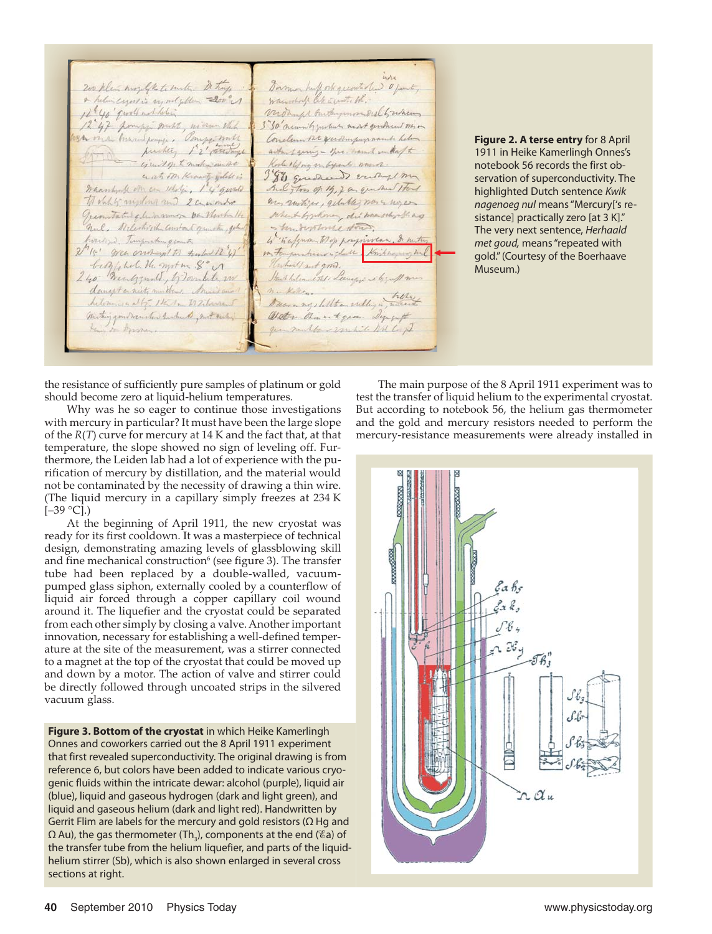Darmon huff ork quantilier of fait, 200 plan money of the territor. De traps a helincener is montgotten 200 c 12 40' quall not letter virdament burtheymou Dist Luchany 12 47 pompy mist, minen this 3"50 numily which mast genthund non Bu on a burning page . Pomper mill Conclum the year improvements helen packer 12' and way arting geing - three hand without to Korle 1 lifog mayork mann. ejuis of hander ander ant on Knowitz julets is 380 questioned entry my Waanhout on can scholing 1 4 quale And too of 14, 2 as que her stort to oblig minding and 2 commonly any suntires, getable, non a myen Quemitated alwaysmage on Newhalte When & by Money, die was school ag nul, Nelestrich Constant granten, gehad - trudystome stow. 4 "Kafyum Wep porgniven. I metu horitim Timpuckung emity "15' green onoright to tenter 12 47 bityphol. H. mot m & M Unhalf sut gong. Hours holennested: Leenezer is by Mm 240 menggant, b) soulet in danget or nicty multively Arend and murketen. nukelen.<br>Duora ny stillten erelliga milit helemony at b. 1th m to Zilmount miting good menster hished, not early Weter than to gam. Singut King on Aprover. gen muller vantil Mil Co. pt

**Figure 2. A terse entry** for 8 April 1911 in Heike Kamerlingh Onnes's notebook 56 records the first observation of superconductivity. The highlighted Dutch sentence *Kwik nagenoeg nul* means "Mercury['s resistance] practically zero [at 3 K]." The very next sentence, *Herhaald met goud,* means "repeated with gold." (Courtesy of the Boerhaave Museum.)

the resistance of sufficiently pure samples of platinum or gold should become zero at liquid-helium temperatures.

Why was he so eager to continue those investigations with mercury in particular? It must have been the large slope of the *R*(*T*) curve for mercury at 14 K and the fact that, at that temperature, the slope showed no sign of leveling off. Furthermore, the Leiden lab had a lot of experience with the purification of mercury by distillation, and the material would not be contaminated by the necessity of drawing a thin wire. (The liquid mercury in a capillary simply freezes at 234 K  $[-39 °C]$ .)

At the beginning of April 1911, the new cryostat was ready for its first cooldown. It was a masterpiece of technical design, demonstrating amazing levels of glassblowing skill and fine mechanical construction<sup>6</sup> (see figure 3). The transfer tube had been replaced by a double-walled, vacuumpumped glass siphon, externally cooled by a counterflow of liquid air forced through a copper capillary coil wound around it. The liquefier and the cryostat could be separated from each other simply by closing a valve. Another important innovation, necessary for establishing a well-defined temperature at the site of the measurement, was a stirrer connected to a magnet at the top of the cryostat that could be moved up and down by a motor. The action of valve and stirrer could be directly followed through uncoated strips in the silvered vacuum glass.

**Figure 3. Bottom of the cryostat** in which Heike Kamerlingh Onnes and coworkers carried out the 8 April 1911 experiment that first revealed superconductivity. The original drawing is from reference 6, but colors have been added to indicate various cryogenic fluids within the intricate dewar: alcohol (purple), liquid air (blue), liquid and gaseous hydrogen (dark and light green), and liquid and gaseous helium (dark and light red). Handwritten by Gerrit Flim are labels for the mercury and gold resistors ( $\Omega$  Hg and  $\Omega$  Au), the gas thermometer (Th $_{\text{3}}$ ), components at the end (%a) of the transfer tube from the helium liquefier, and parts of the liquidhelium stirrer (Sb), which is also shown enlarged in several cross sections at right.

The main purpose of the 8 April 1911 experiment was to test the transfer of liquid helium to the experimental cryostat. But according to notebook 56, the helium gas thermometer and the gold and mercury resistors needed to perform the mercury-resistance measurements were already installed in

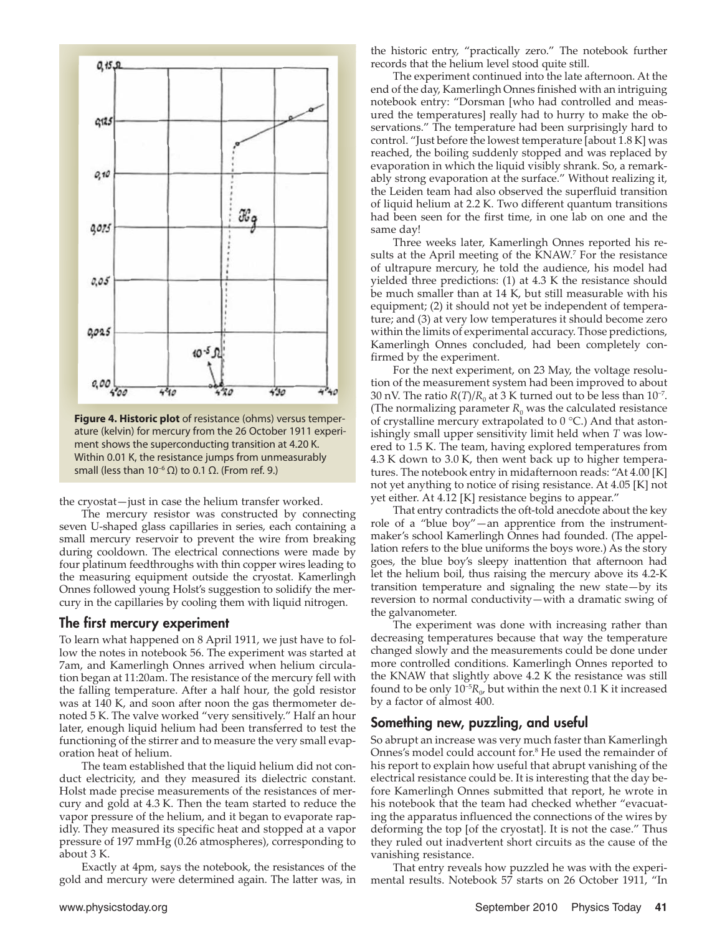

**Figure 4. Historic plot** of resistance (ohms) versus temperature (kelvin) for mercury from the 26 October 1911 experiment shows the superconducting transition at 4.20 K. Within 0.01 K, the resistance jumps from unmeasurably small (less than 10<sup>-6</sup> Ω) to 0.1  $\Omega$ . (From ref. 9.)

the cryostat—just in case the helium transfer worked.

The mercury resistor was constructed by connecting seven U-shaped glass capillaries in series, each containing a small mercury reservoir to prevent the wire from breaking during cooldown. The electrical connections were made by four platinum feedthroughs with thin copper wires leading to the measuring equipment outside the cryostat. Kamerlingh Onnes followed young Holst's suggestion to solidify the mercury in the capillaries by cooling them with liquid nitrogen.

#### **The first mercury experiment**

To learn what happened on 8 April 1911, we just have to follow the notes in notebook 56. The experiment was started at 7am, and Kamerlingh Onnes arrived when helium circulation began at 11:20am. The resistance of the mercury fell with the falling temperature. After a half hour, the gold resistor was at 140 K, and soon after noon the gas thermometer denoted 5 K. The valve worked "very sensitively." Half an hour later, enough liquid helium had been transferred to test the functioning of the stirrer and to measure the very small evaporation heat of helium.

The team established that the liquid helium did not conduct electricity, and they measured its dielectric constant. Holst made precise measurements of the resistances of mercury and gold at 4.3 K. Then the team started to reduce the vapor pressure of the helium, and it began to evaporate rapidly. They measured its specific heat and stopped at a vapor pressure of 197 mmHg (0.26 atmospheres), corresponding to about 3 K.

Exactly at 4pm, says the notebook, the resistances of the gold and mercury were determined again. The latter was, in the historic entry, "practically zero." The notebook further records that the helium level stood quite still.

The experiment continued into the late afternoon. At the end of the day, Kamerlingh Onnes finished with an intriguing notebook entry: "Dorsman [who had controlled and measured the temperatures] really had to hurry to make the observations." The temperature had been surprisingly hard to control. "Just before the lowest temperature [about 1.8 K] was reached, the boiling suddenly stopped and was replaced by evaporation in which the liquid visibly shrank. So, a remarkably strong evaporation at the surface." Without realizing it, the Leiden team had also observed the superfluid transition of liquid helium at 2.2 K. Two different quantum transitions had been seen for the first time, in one lab on one and the same day!

Three weeks later, Kamerlingh Onnes reported his results at the April meeting of the KNAW.<sup>7</sup> For the resistance of ultrapure mercury, he told the audience, his model had yielded three predictions: (1) at 4.3 K the resistance should be much smaller than at 14 K, but still measurable with his equipment; (2) it should not yet be independent of temperature; and (3) at very low temperatures it should become zero within the limits of experimental accuracy. Those predictions, Kamerlingh Onnes concluded, had been completely confirmed by the experiment.

For the next experiment, on 23 May, the voltage resolution of the measurement system had been improved to about 30 nV. The ratio *R*(*T*)/*R*<sub>0</sub> at 3 K turned out to be less than 10<sup>-7</sup>. (The normalizing parameter  $R_0$  was the calculated resistance of crystalline mercury extrapolated to 0 °C.) And that astonishingly small upper sensitivity limit held when *T* was lowered to 1.5 K. The team, having explored temperatures from 4.3 K down to 3.0 K, then went back up to higher temperatures. The notebook entry in midafternoon reads: "At 4.00 [K] not yet anything to notice of rising resistance. At 4.05 [K] not yet either. At 4.12 [K] resistance begins to appear."

That entry contradicts the oft-told anecdote about the key role of a "blue boy"—an apprentice from the instrumentmaker's school Kamerlingh Onnes had founded. (The appellation refers to the blue uniforms the boys wore.) As the story goes, the blue boy's sleepy inattention that afternoon had let the helium boil, thus raising the mercury above its 4.2-K transition temperature and signaling the new state—by its reversion to normal conductivity—with a dramatic swing of the galvanometer.

The experiment was done with increasing rather than decreasing temperatures because that way the temperature changed slowly and the measurements could be done under more controlled conditions. Kamerlingh Onnes reported to the KNAW that slightly above 4.2 K the resistance was still found to be only  $10^{-5}R_0$ , but within the next 0.1 K it increased by a factor of almost 400.

### **Something new, puzzling, and useful**

So abrupt an increase was very much faster than Kamerlingh Onnes's model could account for.8 He used the remainder of his report to explain how useful that abrupt vanishing of the electrical resistance could be. It is interesting that the day before Kamerlingh Onnes submitted that report, he wrote in his notebook that the team had checked whether "evacuating the apparatus influenced the connections of the wires by deforming the top [of the cryostat]. It is not the case." Thus they ruled out inadvertent short circuits as the cause of the vanishing resistance.

That entry reveals how puzzled he was with the experimental results. Notebook 57 starts on 26 October 1911, "In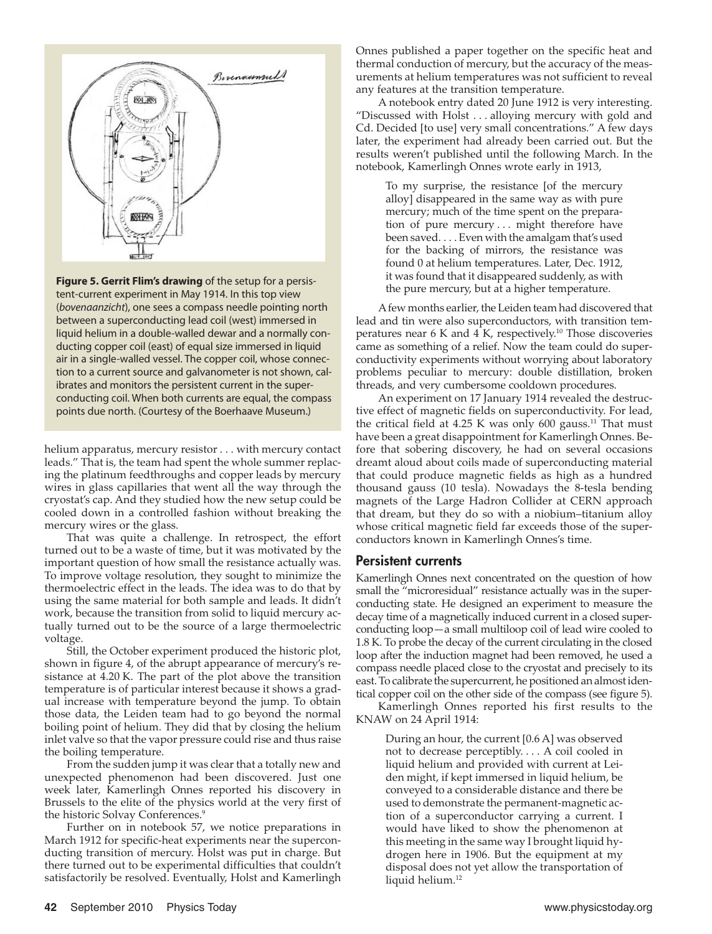

**Figure 5. Gerrit Flim's drawing** of the setup for a persistent-current experiment in May 1914. In this top view (*boven aanzicht*), one sees a compass needle pointing north between a superconducting lead coil (west) immersed in liquid helium in a double-walled dewar and a normally conducting copper coil (east) of equal size immersed in liquid air in a single-walled vessel. The copper coil, whose connection to a current source and galvanometer is not shown, calibrates and monitors the persistent current in the superconducting coil. When both currents are equal, the compass points due north. (Courtesy of the Boerhaave Museum.)

 helium apparatus, mercury resistor . . . with mercury contact leads." That is, the team had spent the whole summer replacing the platinum feedthroughs and copper leads by mercury wires in glass capillaries that went all the way through the cryostat's cap. And they studied how the new setup could be cooled down in a controlled fashion without breaking the mercury wires or the glass.

That was quite a challenge. In retrospect, the effort turned out to be a waste of time, but it was motivated by the important question of how small the resistance actually was. To improve voltage resolution, they sought to minimize the thermoelectric effect in the leads. The idea was to do that by using the same material for both sample and leads. It didn't work, because the transition from solid to liquid mercury actually turned out to be the source of a large thermoelectric voltage.

Still, the October experiment produced the historic plot, shown in figure 4, of the abrupt appearance of mercury's resistance at  $4.20$  K. The part of the plot above the transition temperature is of particular interest because it shows a gradual increase with temperature beyond the jump. To obtain those data, the Leiden team had to go beyond the normal boiling point of helium. They did that by closing the helium inlet valve so that the vapor pressure could rise and thus raise the boiling temperature.

From the sudden jump it was clear that a totally new and unexpected phenomenon had been discovered. Just one week later, Kamerlingh Onnes reported his discovery in Brussels to the elite of the physics world at the very first of the historic Solvay Conferences.<sup>9</sup>

Further on in notebook 57, we notice preparations in March 1912 for specific-heat experiments near the superconducting transition of mercury. Holst was put in charge. But there turned out to be experimental difficulties that couldn't satisfactorily be resolved. Eventually, Holst and Kamerlingh

Onnes published a paper together on the specific heat and thermal conduction of mercury, but the accuracy of the measurements at helium temperatures was not sufficient to reveal any features at the transition temperature.

A notebook entry dated 20 June 1912 is very interesting. "Discussed with Holst . . . alloying mercury with gold and Cd. Decided [to use] very small concentrations." A few days later, the experiment had already been carried out. But the results weren't published until the following March. In the notebook, Kamerlingh Onnes wrote early in 1913,

To my surprise, the resistance [of the mercury alloy] disappeared in the same way as with pure mercury; much of the time spent on the preparation of pure mercury . . . might therefore have been saved. . . . Even with the amalgam that's used for the backing of mirrors, the resistance was found 0 at helium temperatures. Later, Dec. 1912, it was found that it disappeared suddenly, as with the pure mercury, but at a higher temperature.

A few months earlier, the Leiden team had discovered that lead and tin were also superconductors, with transition temperatures near 6 K and  $4\text{ K}$ , respectively.<sup>10</sup> Those discoveries came as something of a relief. Now the team could do superconductivity experiments without worrying about laboratory problems peculiar to mercury: double distillation, broken threads, and very cumbersome cooldown procedures.

An experiment on 17 January 1914 revealed the destructive effect of magnetic fields on superconductivity. For lead, the critical field at 4.25 K was only 600 gauss.<sup>11</sup> That must have been a great disappointment for Kamerlingh Onnes. Before that sobering discovery, he had on several occasions dreamt aloud about coils made of superconducting material that could produce magnetic fields as high as a hundred thousand gauss (10 tesla). Nowadays the 8-tesla bending magnets of the Large Hadron Collider at CERN approach that dream, but they do so with a niobium–titanium alloy whose critical magnetic field far exceeds those of the superconductors known in Kamerlingh Onnes's time.

### **Persistent currents**

Kamerlingh Onnes next concentrated on the question of how small the "microresidual" resistance actually was in the superconducting state. He designed an experiment to measure the decay time of a magnetically induced current in a closed superconducting loop—a small multiloop coil of lead wire cooled to 1.8 K. To probe the decay of the current circulating in the closed loop after the induction magnet had been removed, he used a compass needle placed close to the cryostat and precisely to its east. To calibrate the supercurrent, he positioned an almost identical copper coil on the other side of the compass (see figure 5).

Kamerlingh Onnes reported his first results to the KNAW on 24 April 1914:

During an hour, the current [0.6 A] was observed not to decrease perceptibly. . . . A coil cooled in liquid helium and provided with current at Leiden might, if kept immersed in liquid helium, be conveyed to a considerable distance and there be used to demonstrate the permanent-magnetic action of a superconductor carrying a current. I would have liked to show the phenomenon at this meeting in the same way I brought liquid hydrogen here in 1906. But the equipment at my disposal does not yet allow the transportation of liquid helium.<sup>12</sup>